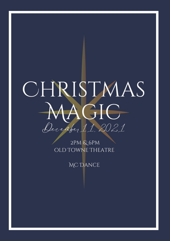# CHRISTMAS MAGIC December 11, 2021

2PM & 6PM **OLD TOWNE THEATRE** 

**MCDANCE**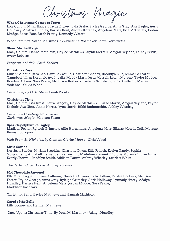Christmas Magic

#### **When Christmas Comes to Town**

Lola Collum, Milan Baggett, Jayde Dickey, Lyla Drake, Brylee George, Anna Gray, Ava Hagler, Aeris Holloway, Adalyn Hundley, Karissa Kent, Audrey Koranek, Angelena Mars, Evie McCaffety, Jordan Mudge, Reese Pate, Sarah Prouty, Kennedy Waters

*What Reminds You of Christmas, by Ernestine Northover - Allie Hernandez*

#### **Show Me the Magic**

Macy Collum, Hanna Mathiews, Haylee Mathiews, Jalynn Merrell, Abigail Neyland, Lainey Pervis, Avery Roberts

*Peppermint Stick - Faith Tackett*

#### **Christmas Toys**

Lillian Calhoun, Julia Cao, Camille Castillo, Charlotte Chaney, Brooklyn Ellis, Emma Gerhardt-Campbell, Jillian Koranek, Ava Ingalla, Maddy Marti, Jessa Merrell, Lelani Moreno, Taylor Mudge, Braylen O'Brien, Nora Payne, Maddison Rasberry, Isabelle Santibanz, Lucy Smithson, Maizee Vodehnal, Olivia Wood

*Christmas, By M. E. Mire -* Sarah Prouty

#### **Christmas Time**

Macy Collum, Issa Ernst, Sierra Gregory, Haylee Mathiews, Ellazae Morris, Abigail Neyland, Peyton Nichols, Ava Nino, Addie Norris, Jayna Norris, Rikki Rudometkin, Ashley Westbay

*Christmas Greeting-* Nora Payne *Christmas Magic -*Madison Foster

#### **Sparklejollytwinkejingley**

Madison Foster, Ryleigh Grimsley, Allie Hernandez, Angelena Mars, Ellazae Morris, Celia Moreno, Benny Rodriquez

*Visit From St. Nicholas, by Clement Clarke Moore -* Olvia Wood

#### **Little Santas**

Kerrigan Bender, Miriam Brookins, Charlotte Dixon, Ellie Fritsch, Evelyn Gandy, Sophia Gospodnetic, Annabell Hernandez, Kenzie Hill, Madeline Koranek, Victoria Moreno, Vivian Nunez, Everly Shotwell, Madilyn Smith, Addison Tatum, Aubrey Whatley, Scarlett White

The Perfect Cup of Cocoa, Audrey Koranek

#### **Hot Chocolate Anyone?**

Ella Milan Baggett, Liliann Calhoun, Charlotte Chaney, Lola Collum, Paislee Dockery, Madison Foster, Brylee George, Anna Gray, Ryleigh Grimsley, Aeris Holloway, Lynnady Huery, Adalyn Hundley, Karissa Kent, Angelena Mars, Jordan Mudge, Nora Payne, Maddison Rasbeary

Christmas Bells, Haylee Mathiews and Hannah Mathiews

### **Carol of the Bells**

Lilly Looney and Hannah Mathiews

Once Upon a Christmas Time, By Dona M. Maroney - Adalyn Hundley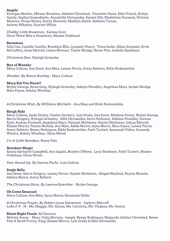## **Angels**

Kerrigan Bender, Miriam Brookins, Adeline Cleveland, Charlotte Dixon, Ellie Fritsch, Evelyn Gandy, Sophia Gospodnetic, Annabelle Hernandez, Kenzie Hill, Madeleine Koranek, Victoria Moreno, Vivian Nunez, Everly Shotwell, Madilyn Smith, Addison Tatum, Aubrey Whatley, Scarlett White

*Chubby Little Snowman,* Karissa Kent *Once There Was a Snowman,* Maizee Vodehnal

#### **Snowman**

Julia Cao, Camille Castillo, Brooklyn Ellis, Lynnady Huery, Tessa Jenke, Jillian Koranek, Evvie McCaffety, Jessa Merrell, Lelani Moreno, Taylor Mudge, Reese Pate, Isabelle Santibanz

*Christmas Star,* Ryleigh Grimsley

#### **Star of Wonder**

Macy Collum, Issa Ernst, Ava Nino, Lainey Pervis, Avery Roberts, Rikki Rudometkin

*Wonder, By Nancy Buckley* - Macy Collum

#### **Mary Did You Know?**

Brylee George, Anna Gray, Ryleigh Grimsley, Adalyn Hundley, Angelena Mars, Jordan Mudge, Nora Payne, Ashley Westbay

*A Christmas Wish, By WIlliams Michelin -* Ava Nino and Rikki Rudometkin

#### **Sleigh Ride**

Macy Collum, Jayde Dickey, Paislee Dockery, Lyla Drake, Issa Ernst, Madison Foster, Brylee George, Sierra Gregory, Ryleigh Grimsley, Allie Hernandez, Aeris Holloway, Adeline Hundley, Karissa Kent, Audrey Koranek, Angelena Mars, Hannah Mathiews, Haylee Mathiews, Jalynn Merrell, Ellazae Morris, Peyton Nichols, Ava Nino, Addie Norris, Jayna Norris, Nora Payne, Lainey Pervis, Avery Roberts, Benny Rodriquez, Rikki Rudometkin, Faith Tackett, Savannah Valles, Kennedy Waters, Ashley Westbay, Olivia Wood

#### *I'm A Little Reindeer,* Reese Pate

#### **Reindeer Magic**

Emma Gerhardt-Campbell, Ava Ingalla, Braylen O'Brien, Lucy Smithson, Faith Tackett, Maizee Vodehnal, Olivia Wood

*Year Round Joy, By Joanna Fuchs -*Lola Collum

#### **Jingle Bells**

Issa Ernst, Sierra Gregory, Lainey Pervis, Haylee Mathiews, Abigail Neyland, Peyton Nichols, Adelyn Norris, Avery Roberts

*The Christmas Story, By Leanne Guenther -* Brylee George

#### **Oh Come Emanuel**

Macy Collum, Ava Niño, Jayna Norris, Savannah Valles

#### *A Christmas Prayer, By Robert Louis Stevenson - Jaylynn Merrell Luke 2: 8 - 14 -* Ms. Maggie, Ms. Alyssa, Ms. Carolynn, Ms. Virginia, Ms. Jessica

#### **Silent Night Finale** All Dancers

Nativity Scene - Mary: Celia Moreno, Joseph: Benny Rodriquez, Shepards: Adelyn Cleveland, Reese Pate & Sarah Prouty, King: Ellazae Morris, Lyla Drake & Allie Hernandez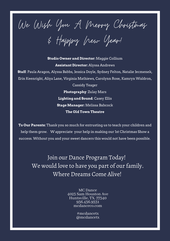We Wish You A Merry Christmas

& Happy New Year!

**Studio Owner and Director:** Maggie Collium **Assistant Director:** Alyssa Andrews **Staff**: Paula Aragon, Alyssa Babbs, Jessica Doyle, Sydney Felton, Natalie Jecmenek, Erin Keenright, Aliya Lane, Virginia Mathiews, Carolynn Rose, Kamryn Waldron, Cassidy Yeager **Photography**: Zulay Mars **Lighting and Sound**: Casey Ellis

**Stage Manager:** Melissa Babcock

# **The Old Town Theatre**

**To Our Parents:** Thank you so much for entrusting us to teach your children and help them grow. W appreciate your help in making our 1st Christmas Show a success. Without you and your sweet dancers this would not have been possible.

Join our Dance Program Today! We would love to have you part of our family. Where Dreams Come Alive!

> MC Dance 4023 Sam Houston Ave Huntsville, TX. 77340 936.436.9331 mcdanceco.com

> > #mcdancetx @mcdancetx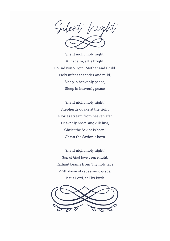Silent Night

Silent night, holy night! All is calm, all is bright. Round yon Virgin, Mother and Child. Holy infant so tender and mild, Sleep in heavenly peace, Sleep in heavenly peace

Silent night, holy night! Shepherds quake at the sight. Glories stream from heaven afar Heavenly hosts sing Alleluia, Christ the Savior is born! Christ the Savior is born

Silent night, holy night! Son of God love's pure light. Radiant beams from Thy holy face With dawn of redeeming grace, Jesus Lord, at Thy birth